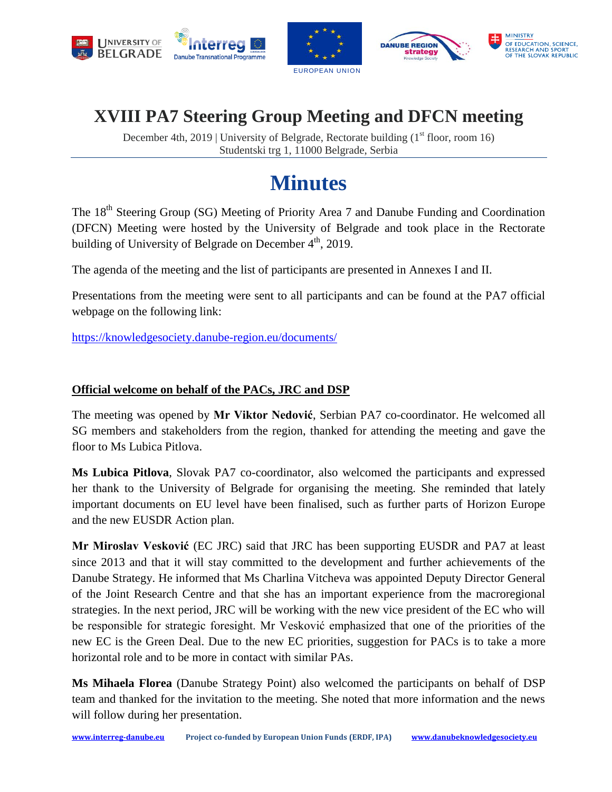





# **XVIII PA7 Steering Group Meeting and DFCN meeting**

December 4th, 2019 | University of Belgrade, Rectorate building  $(1<sup>st</sup>$  floor, room 16) Studentski trg 1, 11000 Belgrade, Serbia

# **Minutes**

The 18<sup>th</sup> Steering Group (SG) Meeting of Priority Area 7 and Danube Funding and Coordination (DFCN) Meeting were hosted by the University of Belgrade and took place in the Rectorate building of University of Belgrade on December 4<sup>th</sup>, 2019.

The agenda of the meeting and the list of participants are presented in Annexes I and II.

Presentations from the meeting were sent to all participants and can be found at the PA7 official webpage on the following link:

<https://knowledgesociety.danube-region.eu/documents/>

#### **Official welcome on behalf of the PACs, JRC and DSP**

The meeting was opened by **Mr Viktor Nedović**, Serbian PA7 co-coordinator. He welcomed all SG members and stakeholders from the region, thanked for attending the meeting and gave the floor to Ms Lubica Pitlova.

**Ms Lubica Pitlova**, Slovak PA7 co-coordinator, also welcomed the participants and expressed her thank to the University of Belgrade for organising the meeting. She reminded that lately important documents on EU level have been finalised, such as further parts of Horizon Europe and the new EUSDR Action plan.

**Mr Miroslav Vesković** (EC JRC) said that JRC has been supporting EUSDR and PA7 at least since 2013 and that it will stay committed to the development and further achievements of the Danube Strategy. He informed that Ms Charlina Vitcheva was appointed Deputy Director General of the Joint Research Centre and that she has an important experience from the macroregional strategies. In the next period, JRC will be working with the new vice president of the EC who will be responsible for strategic foresight. Mr Vesković emphasized that one of the priorities of the new EC is the Green Deal. Due to the new EC priorities, suggestion for PACs is to take a more horizontal role and to be more in contact with similar PAs.

**Ms Mihaela Florea** (Danube Strategy Point) also welcomed the participants on behalf of DSP team and thanked for the invitation to the meeting. She noted that more information and the news will follow during her presentation.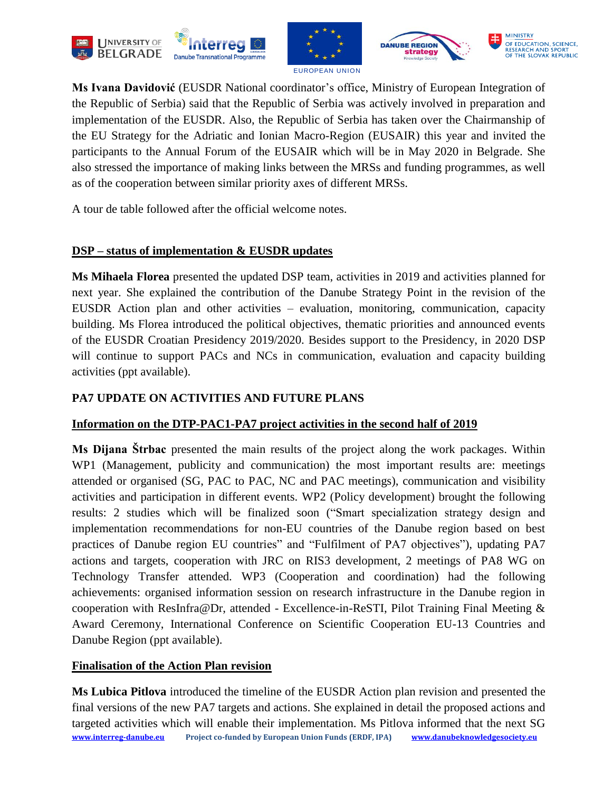







**Ms Ivana Davidović** (EUSDR National coordinator's office, Ministry of European Integration of the Republic of Serbia) said that the Republic of Serbia was actively involved in preparation and implementation of the EUSDR. Also, the Republic of Serbia has taken over the Chairmanship of the EU Strategy for the Adriatic and Ionian Macro-Region (EUSAIR) this year and invited the participants to the Annual Forum of the EUSAIR which will be in May 2020 in Belgrade. She also stressed the importance of making links between the MRSs and funding programmes, as well as of the cooperation between similar priority axes of different MRSs.

A tour de table followed after the official welcome notes.

#### **DSP – status of implementation & EUSDR updates**

**Ms Mihaela Florea** presented the updated DSP team, activities in 2019 and activities planned for next year. She explained the contribution of the Danube Strategy Point in the revision of the EUSDR Action plan and other activities – evaluation, monitoring, communication, capacity building. Ms Florea introduced the political objectives, thematic priorities and announced events of the EUSDR Croatian Presidency 2019/2020. Besides support to the Presidency, in 2020 DSP will continue to support PACs and NCs in communication, evaluation and capacity building activities (ppt available).

## **PA7 UPDATE ON ACTIVITIES AND FUTURE PLANS**

## **Information on the DTP-PAC1-PA7 project activities in the second half of 2019**

**Ms Dijana Štrbac** presented the main results of the project along the work packages. Within WP1 (Management, publicity and communication) the most important results are: meetings attended or organised (SG, PAC to PAC, NC and PAC meetings), communication and visibility activities and participation in different events. WP2 (Policy development) brought the following results: 2 studies which will be finalized soon ("Smart specialization strategy design and implementation recommendations for non-EU countries of the Danube region based on best practices of Danube region EU countries" and "Fulfilment of PA7 objectives"), updating PA7 actions and targets, cooperation with JRC on RIS3 development, 2 meetings of PA8 WG on Technology Transfer attended. WP3 (Cooperation and coordination) had the following achievements: organised information session on research infrastructure in the Danube region in cooperation with ResInfra@Dr, attended - Excellence-in-ReSTI, Pilot Training Final Meeting & Award Ceremony, International Conference on Scientific Cooperation EU-13 Countries and Danube Region (ppt available).

## **Finalisation of the Action Plan revision**

**[www.interreg-danube.eu](http://www.interreg-danube.eu/) Project co-funded by European Union Funds (ERDF, IPA) [www.danubeknowledgesociety.eu](http://www.danubeknowledgesociety.eu/) Ms Lubica Pitlova** introduced the timeline of the EUSDR Action plan revision and presented the final versions of the new PA7 targets and actions. She explained in detail the proposed actions and targeted activities which will enable their implementation. Ms Pitlova informed that the next SG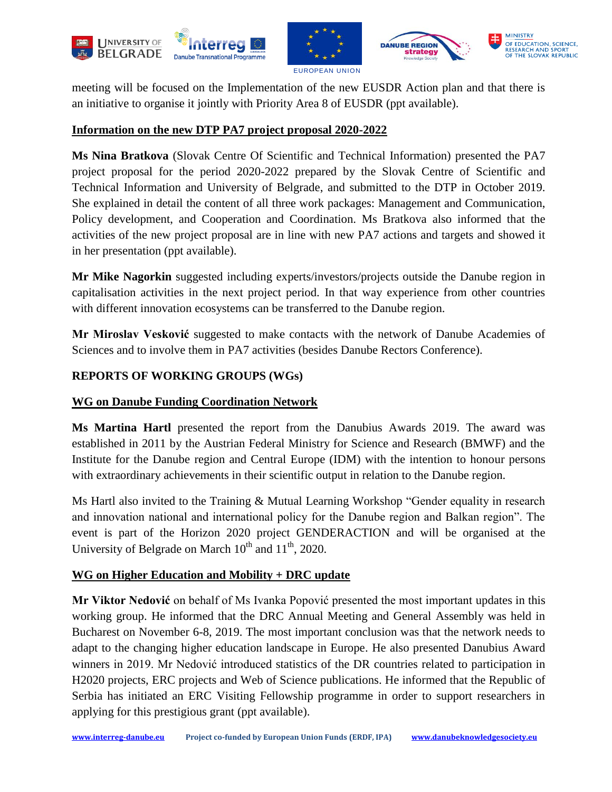







meeting will be focused on the Implementation of the new EUSDR Action plan and that there is an initiative to organise it jointly with Priority Area 8 of EUSDR (ppt available).

#### **Information on the new DTP PA7 project proposal 2020-2022**

**Ms Nina Bratkova** (Slovak Centre Of Scientific and Technical Information) presented the PA7 project proposal for the period 2020-2022 prepared by the Slovak Centre of Scientific and Technical Information and University of Belgrade, and submitted to the DTP in October 2019. She explained in detail the content of all three work packages: Management and Communication, Policy development, and Cooperation and Coordination. Ms Bratkova also informed that the activities of the new project proposal are in line with new PA7 actions and targets and showed it in her presentation (ppt available).

**Mr Mike Nagorkin** suggested including experts/investors/projects outside the Danube region in capitalisation activities in the next project period. In that way experience from other countries with different innovation ecosystems can be transferred to the Danube region.

**Mr Miroslav Vesković** suggested to make contacts with the network of Danube Academies of Sciences and to involve them in PA7 activities (besides Danube Rectors Conference).

#### **REPORTS OF WORKING GROUPS (WGs)**

#### **WG on Danube Funding Coordination Network**

**Ms Martina Hartl** presented the report from the Danubius Awards 2019. The award was established in 2011 by the Austrian Federal Ministry for Science and Research (BMWF) and the Institute for the Danube region and Central Europe (IDM) with the intention to honour persons with extraordinary achievements in their scientific output in relation to the Danube region.

Ms Hartl also invited to the Training & Mutual Learning Workshop "Gender equality in research and innovation national and international policy for the Danube region and Balkan region". The event is part of the Horizon 2020 project GENDERACTION and will be organised at the University of Belgrade on March  $10^{th}$  and  $11^{th}$ , 2020.

#### **WG on Higher Education and Mobility + DRC update**

**Mr Viktor Nedović** on behalf of Ms Ivanka Popović presented the most important updates in this working group. He informed that the DRC Annual Meeting and General Assembly was held in Bucharest on November 6-8, 2019. The most important conclusion was that the network needs to adapt to the changing higher education landscape in Europe. He also presented Danubius Award winners in 2019. Mr Nedović introduced statistics of the DR countries related to participation in H2020 projects, ERC projects and Web of Science publications. He informed that the Republic of Serbia has initiated an ERC Visiting Fellowship programme in order to support researchers in applying for this prestigious grant (ppt available).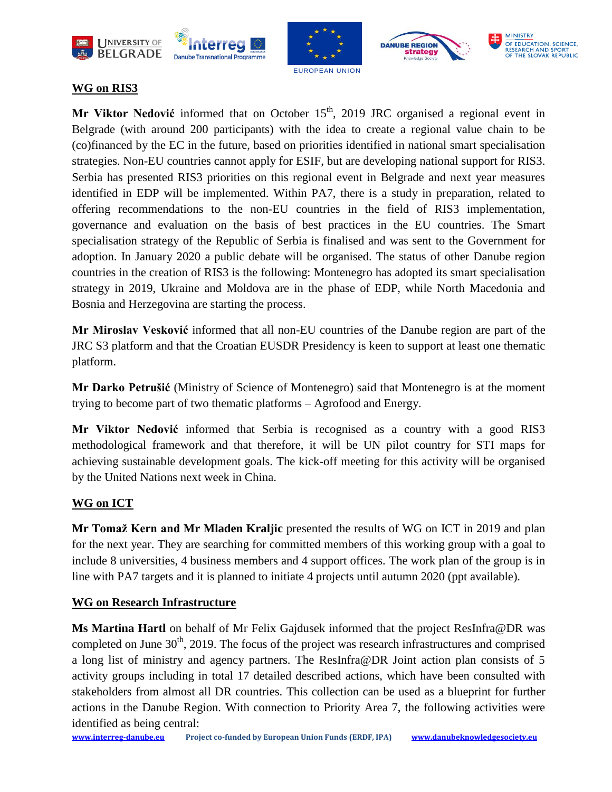









#### **WG on RIS3**

**Mr Viktor Nedović** informed that on October 15<sup>th</sup>, 2019 JRC organised a regional event in Belgrade (with around 200 participants) with the idea to create a regional value chain to be (co)financed by the EC in the future, based on priorities identified in national smart specialisation strategies. Non-EU countries cannot apply for ESIF, but are developing national support for RIS3. Serbia has presented RIS3 priorities on this regional event in Belgrade and next year measures identified in EDP will be implemented. Within PA7, there is a study in preparation, related to offering recommendations to the non-EU countries in the field of RIS3 implementation, governance and evaluation on the basis of best practices in the EU countries. The Smart specialisation strategy of the Republic of Serbia is finalised and was sent to the Government for adoption. In January 2020 a public debate will be organised. The status of other Danube region countries in the creation of RIS3 is the following: Montenegro has adopted its smart specialisation strategy in 2019, Ukraine and Moldova are in the phase of EDP, while North Macedonia and Bosnia and Herzegovina are starting the process.

**Mr Miroslav Vesković** informed that all non-EU countries of the Danube region are part of the JRC S3 platform and that the Croatian EUSDR Presidency is keen to support at least one thematic platform.

**Mr Darko Petrušić** (Ministry of Science of Montenegro) said that Montenegro is at the moment trying to become part of two thematic platforms – Agrofood and Energy.

**Mr Viktor Nedović** informed that Serbia is recognised as a country with a good RIS3 methodological framework and that therefore, it will be UN pilot country for STI maps for achieving sustainable development goals. The kick-off meeting for this activity will be organised by the United Nations next week in China.

## **WG on ICT**

**Mr Tomaž Kern and Mr Mladen Kraljic** presented the results of WG on ICT in 2019 and plan for the next year. They are searching for committed members of this working group with a goal to include 8 universities, 4 business members and 4 support offices. The work plan of the group is in line with PA7 targets and it is planned to initiate 4 projects until autumn 2020 (ppt available).

#### **WG on Research Infrastructure**

**Ms Martina Hartl** on behalf of Mr Felix Gajdusek informed that the project ResInfra@DR was completed on June  $30<sup>th</sup>$ , 2019. The focus of the project was research infrastructures and comprised a long list of ministry and agency partners. The ResInfra@DR Joint action plan consists of 5 activity groups including in total 17 detailed described actions, which have been consulted with stakeholders from almost all DR countries. This collection can be used as a blueprint for further actions in the Danube Region. With connection to Priority Area 7, the following activities were identified as being central: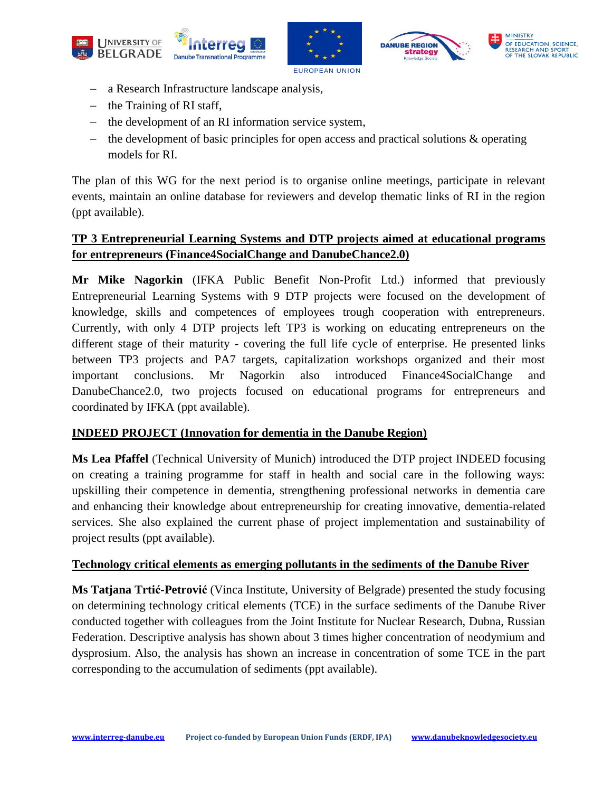







- a Research Infrastructure landscape analysis,
- $-$  the Training of RI staff,
- the development of an RI information service system,
- $\theta$  the development of basic principles for open access and practical solutions & operating models for RI.

The plan of this WG for the next period is to organise online meetings, participate in relevant events, maintain an online database for reviewers and develop thematic links of RI in the region (ppt available).

## **TP 3 Entrepreneurial Learning Systems and DTP projects aimed at educational programs for entrepreneurs (Finance4SocialChange and DanubeChance2.0)**

**Mr Mike Nagorkin** (IFKA Public Benefit Non-Profit Ltd.) informed that previously Entrepreneurial Learning Systems with 9 DTP projects were focused on the development of knowledge, skills and competences of employees trough cooperation with entrepreneurs. Currently, with only 4 DTP projects left TP3 is working on educating entrepreneurs on the different stage of their maturity - covering the full life cycle of enterprise. He presented links between TP3 projects and PA7 targets, capitalization workshops organized and their most important conclusions. Mr Nagorkin also introduced Finance4SocialChange and DanubeChance2.0, two projects focused on educational programs for entrepreneurs and coordinated by IFKA (ppt available).

#### **INDEED PROJECT (Innovation for dementia in the Danube Region)**

**Ms Lea Pfaffel** (Technical University of Munich) introduced the DTP project INDEED focusing on creating a training programme for staff in health and social care in the following ways: upskilling their competence in dementia, strengthening professional networks in dementia care and enhancing their knowledge about entrepreneurship for creating innovative, dementia-related services. She also explained the current phase of project implementation and sustainability of project results (ppt available).

#### **Technology critical elements as emerging pollutants in the sediments of the Danube River**

**Ms Tatjana Trtić-Petrović** (Vinca Institute, University of Belgrade) presented the study focusing on determining technology critical elements (TCE) in the surface sediments of the Danube River conducted together with colleagues from the Joint Institute for Nuclear Research, Dubna, Russian Federation. Descriptive analysis has shown about 3 times higher concentration of neodymium and dysprosium. Also, the analysis has shown an increase in concentration of some TCE in the part corresponding to the accumulation of sediments (ppt available).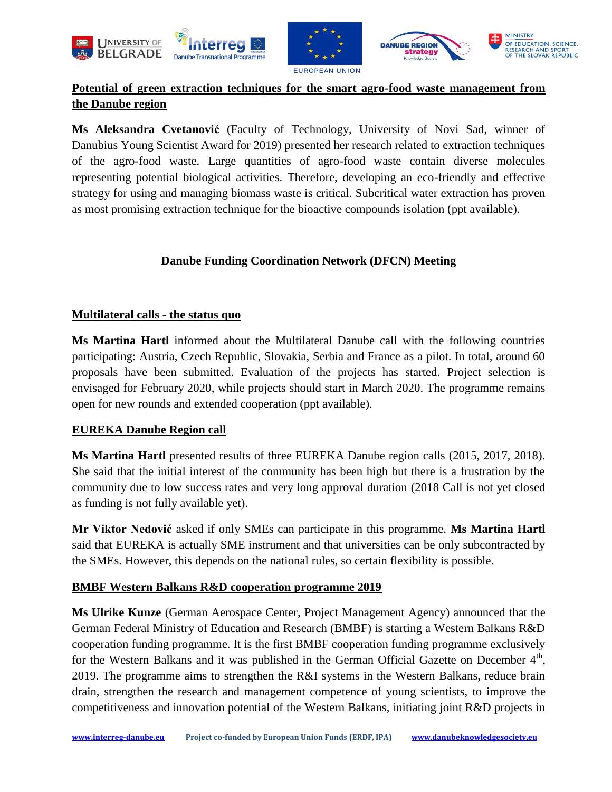





## **Potential of green extraction techniques for the smart agro-food waste management from the Danube region**

**Ms Aleksandra Cvetanović** (Faculty of Technology, University of Novi Sad, winner of Danubius Young Scientist Award for 2019) presented her research related to extraction techniques of the agro-food waste. Large quantities of agro-food waste contain diverse molecules representing potential biological activities. Therefore, developing an eco-friendly and effective strategy for using and managing biomass waste is critical. Subcritical water extraction has proven as most promising extraction technique for the bioactive compounds isolation (ppt available).

#### **Danube Funding Coordination Network (DFCN) Meeting**

#### **Multilateral calls - the status quo**

**Ms Martina Hartl** informed about the Multilateral Danube call with the following countries participating: Austria, Czech Republic, Slovakia, Serbia and France as a pilot. In total, around 60 proposals have been submitted. Evaluation of the projects has started. Project selection is envisaged for February 2020, while projects should start in March 2020. The programme remains open for new rounds and extended cooperation (ppt available).

#### **EUREKA Danube Region call**

**Ms Martina Hartl** presented results of three EUREKA Danube region calls (2015, 2017, 2018). She said that the initial interest of the community has been high but there is a frustration by the community due to low success rates and very long approval duration (2018 Call is not yet closed as funding is not fully available yet).

**Mr Viktor Nedović** asked if only SMEs can participate in this programme. **Ms Martina Hartl** said that EUREKA is actually SME instrument and that universities can be only subcontracted by the SMEs. However, this depends on the national rules, so certain flexibility is possible.

#### **BMBF Western Balkans R&D cooperation programme 2019**

**Ms Ulrike Kunze** (German Aerospace Center, Project Management Agency) announced that the German Federal Ministry of Education and Research (BMBF) is starting a Western Balkans R&D cooperation funding programme. It is the first BMBF cooperation funding programme exclusively for the Western Balkans and it was published in the German Official Gazette on December  $4<sup>th</sup>$ , 2019. The programme aims to strengthen the R&I systems in the Western Balkans, reduce brain drain, strengthen the research and management competence of young scientists, to improve the competitiveness and innovation potential of the Western Balkans, initiating joint R&D projects in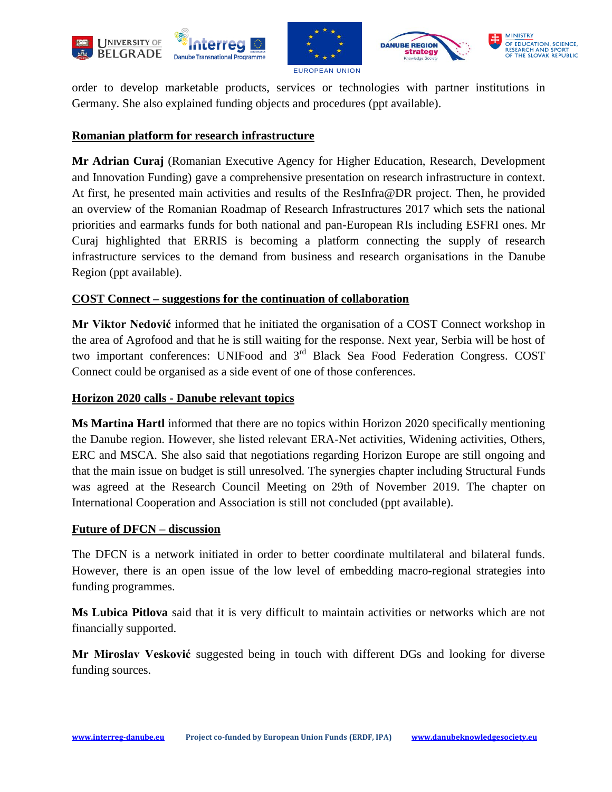







order to develop marketable products, services or technologies with partner institutions in Germany. She also explained funding objects and procedures (ppt available).

#### **Romanian platform for research infrastructure**

**Mr Adrian Curaj** (Romanian Executive Agency for Higher Education, Research, Development and Innovation Funding) gave a comprehensive presentation on research infrastructure in context. At first, he presented main activities and results of the ResInfra@DR project. Then, he provided an overview of the Romanian Roadmap of Research Infrastructures 2017 which sets the national priorities and earmarks funds for both national and pan-European RIs including ESFRI ones. Mr Curaj highlighted that ERRIS is becoming a platform connecting the supply of research infrastructure services to the demand from business and research organisations in the Danube Region (ppt available).

#### **COST Connect – suggestions for the continuation of collaboration**

**Mr Viktor Nedović** informed that he initiated the organisation of a COST Connect workshop in the area of Agrofood and that he is still waiting for the response. Next year, Serbia will be host of two important conferences: UNIFood and 3<sup>rd</sup> Black Sea Food Federation Congress. COST Connect could be organised as a side event of one of those conferences.

#### **Horizon 2020 calls - Danube relevant topics**

**Ms Martina Hartl** informed that there are no topics within Horizon 2020 specifically mentioning the Danube region. However, she listed relevant ERA-Net activities, Widening activities, Others, ERC and MSCA. She also said that negotiations regarding Horizon Europe are still ongoing and that the main issue on budget is still unresolved. The synergies chapter including Structural Funds was agreed at the Research Council Meeting on 29th of November 2019. The chapter on International Cooperation and Association is still not concluded (ppt available).

#### **Future of DFCN – discussion**

The DFCN is a network initiated in order to better coordinate multilateral and bilateral funds. However, there is an open issue of the low level of embedding macro-regional strategies into funding programmes.

**Ms Lubica Pitlova** said that it is very difficult to maintain activities or networks which are not financially supported.

**Mr Miroslav Vesković** suggested being in touch with different DGs and looking for diverse funding sources.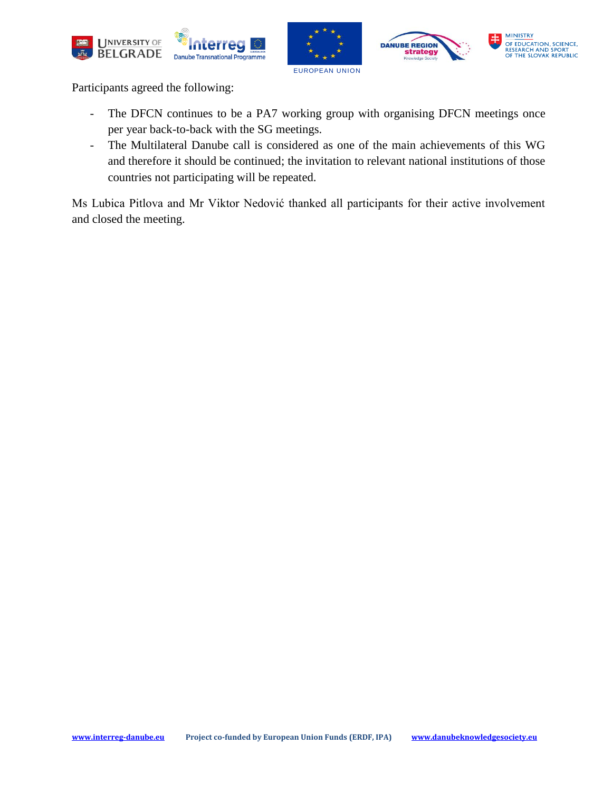







Participants agreed the following:

- The DFCN continues to be a PA7 working group with organising DFCN meetings once per year back-to-back with the SG meetings.
- The Multilateral Danube call is considered as one of the main achievements of this WG and therefore it should be continued; the invitation to relevant national institutions of those countries not participating will be repeated.

Ms Lubica Pitlova and Mr Viktor Nedović thanked all participants for their active involvement and closed the meeting.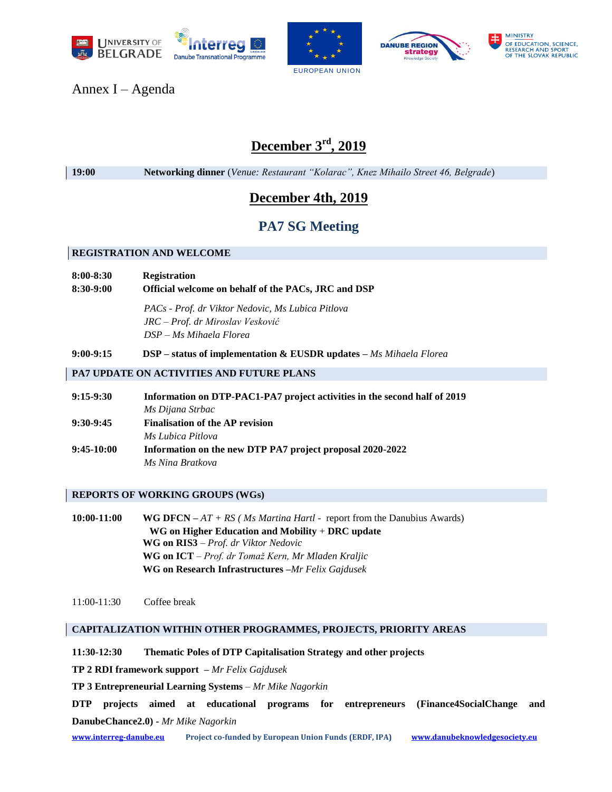







Annex I – Agenda

# **December 3rd, 2019**

**19:00 Networking dinner** (*Venue: Restaurant "Kolarac", Knez Mihailo Street 46, Belgrade*)

# **December 4th, 2019**

## **PA7 SG Meeting**

#### **REGISTRATION AND WELCOME**

#### **8:00-8:30 Registration**

**8:30-9:00 Official welcome on behalf of the PACs, JRC and DSP**

*PACs - Prof. dr Viktor Nedovic, Ms Lubica Pitlova JRC – Prof. dr Miroslav Vesković DSP – Ms Mihaela Florea*

**9:00-9:15 DSP – status of implementation & EUSDR updates –** *Ms Mihaela Florea*

#### **PA7 UPDATE ON ACTIVITIES AND FUTURE PLANS**

| $9:15-9:30$  | Information on DTP-PAC1-PA7 project activities in the second half of 2019 |  |  |
|--------------|---------------------------------------------------------------------------|--|--|
|              | Ms Dijana Strbac                                                          |  |  |
| $9:30-9:45$  | <b>Finalisation of the AP revision</b>                                    |  |  |
|              | Ms Lubica Pitlova                                                         |  |  |
| $9:45-10:00$ | Information on the new DTP PA7 project proposal 2020-2022                 |  |  |
|              | Ms Nina Bratkova                                                          |  |  |

#### **REPORTS OF WORKING GROUPS (WGs)**

**10:00-11:00 WG DFCN –** *AT + RS ( Ms Martina Hartl -* report from the Danubius Awards) **WG on Higher Education and Mobility** + **DRC update WG on RIS3** – *Prof. dr Viktor Nedovic* **WG on ICT** – *Prof. dr Tomaž Kern, Mr Mladen Kraljic* **WG on Research Infrastructures –***Mr Felix Gajdusek*

11:00-11:30 Coffee break

#### **CAPITALIZATION WITHIN OTHER PROGRAMMES, PROJECTS, PRIORITY AREAS**

**11:30-12:30 Thematic Poles of DTP Capitalisation Strategy and other projects**

**TP 2 RDI framework support –** *Mr Felix Gajdusek* 

**TP 3 Entrepreneurial Learning Systems** – *Mr Mike Nagorkin*

**DTP projects aimed at educational programs for entrepreneurs (Finance4SocialChange and DanubeChance2.0) -** *Mr Mike Nagorkin*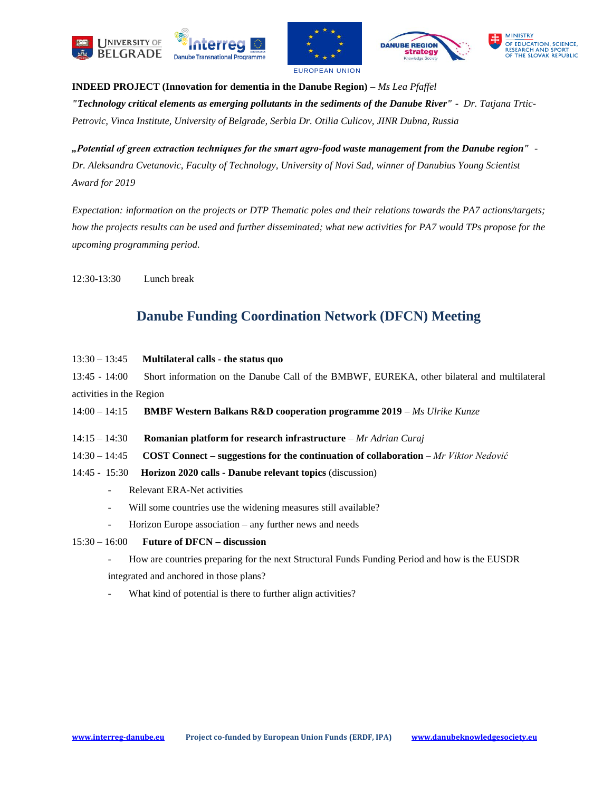







**INDEED PROJECT (Innovation for dementia in the Danube Region) –** *Ms Lea Pfaffel "Technology critical elements as emerging pollutants in the sediments of the Danube River" - Dr. Tatjana Trtic-Petrovic, Vinca Institute, University of Belgrade, Serbia Dr. Otilia Culicov, JINR Dubna, Russia*

*"Potential of green extraction techniques for the smart agro-food waste management from the Danube region" - Dr. Aleksandra Cvetanovic, Faculty of Technology, University of Novi Sad, winner of Danubius Young Scientist Award for 2019*

*Expectation: information on the projects or DTP Thematic poles and their relations towards the PA7 actions/targets; how the projects results can be used and further disseminated; what new activities for PA7 would TPs propose for the upcoming programming period.*

12:30-13:30 Lunch break

## **Danube Funding Coordination Network (DFCN) Meeting**

| $13:30 - 13:45$ | Multilateral calls - the status quo |  |
|-----------------|-------------------------------------|--|
|-----------------|-------------------------------------|--|

13:45 - 14:00 Short information on the Danube Call of the BMBWF, EUREKA, other bilateral and multilateral activities in the Region

- 14:00 14:15 **BMBF Western Balkans R&D cooperation programme 2019**  *Ms Ulrike Kunze*
- 14:15 14:30 **Romanian platform for research infrastructure** *Mr Adrian Curaj*
- 14:30 14:45 **COST Connect – suggestions for the continuation of collaboration** *Mr Viktor Nedović*
- 14:45 15:30 **Horizon 2020 calls - Danube relevant topics** (discussion)
	- Relevant ERA-Net activities
	- Will some countries use the widening measures still available?
	- Horizon Europe association any further news and needs
- 15:30 16:00 **Future of DFCN – discussion**
	- How are countries preparing for the next Structural Funds Funding Period and how is the EUSDR

integrated and anchored in those plans?

What kind of potential is there to further align activities?